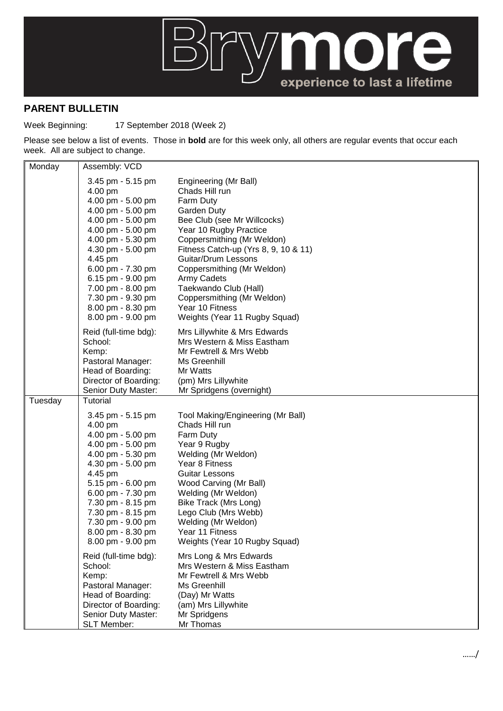

## **PARENT BULLETIN**

Week Beginning: 17 September 2018 (Week 2)

Please see below a list of events. Those in **bold** are for this week only, all others are regular events that occur each week. All are subject to change.

| Monday  | Assembly: VCD                                                                                                                                                                                                                                                                                       |                                                                                                                                                                                                                                                                                                                                                                                   |
|---------|-----------------------------------------------------------------------------------------------------------------------------------------------------------------------------------------------------------------------------------------------------------------------------------------------------|-----------------------------------------------------------------------------------------------------------------------------------------------------------------------------------------------------------------------------------------------------------------------------------------------------------------------------------------------------------------------------------|
|         | 3.45 pm - 5.15 pm<br>4.00 pm<br>4.00 pm - 5.00 pm<br>4.00 pm - 5.00 pm<br>4.00 pm - 5.00 pm<br>4.00 pm - 5.00 pm<br>4.00 pm - 5.30 pm<br>4.30 pm - 5.00 pm<br>4.45 pm<br>6.00 pm - 7.30 pm<br>6.15 pm - 9.00 pm<br>7.00 pm - 8.00 pm<br>7.30 pm - 9.30 pm<br>8.00 pm - 8.30 pm<br>8.00 pm - 9.00 pm | Engineering (Mr Ball)<br>Chads Hill run<br>Farm Duty<br>Garden Duty<br>Bee Club (see Mr Willcocks)<br>Year 10 Rugby Practice<br>Coppersmithing (Mr Weldon)<br>Fitness Catch-up (Yrs 8, 9, 10 & 11)<br>Guitar/Drum Lessons<br>Coppersmithing (Mr Weldon)<br>Army Cadets<br>Taekwando Club (Hall)<br>Coppersmithing (Mr Weldon)<br>Year 10 Fitness<br>Weights (Year 11 Rugby Squad) |
|         | Reid (full-time bdg):<br>School:<br>Kemp:<br>Pastoral Manager:<br>Head of Boarding:<br>Director of Boarding:<br>Senior Duty Master:                                                                                                                                                                 | Mrs Lillywhite & Mrs Edwards<br>Mrs Western & Miss Eastham<br>Mr Fewtrell & Mrs Webb<br>Ms Greenhill<br>Mr Watts<br>(pm) Mrs Lillywhite<br>Mr Spridgens (overnight)                                                                                                                                                                                                               |
| Tuesday | <b>Tutorial</b><br>3.45 pm - 5.15 pm<br>4.00 pm<br>4.00 pm - 5.00 pm<br>4.00 pm - 5.00 pm<br>4.00 pm - 5.30 pm<br>4.30 pm - 5.00 pm<br>4.45 pm<br>5.15 pm - 6.00 pm<br>6.00 pm - 7.30 pm<br>7.30 pm - 8.15 pm<br>7.30 pm - 8.15 pm<br>7.30 pm - 9.00 pm<br>8.00 pm - 8.30 pm<br>8.00 pm - 9.00 pm   | Tool Making/Engineering (Mr Ball)<br>Chads Hill run<br>Farm Duty<br>Year 9 Rugby<br>Welding (Mr Weldon)<br>Year 8 Fitness<br>Guitar Lessons<br>Wood Carving (Mr Ball)<br>Welding (Mr Weldon)<br>Bike Track (Mrs Long)<br>Lego Club (Mrs Webb)<br>Welding (Mr Weldon)<br>Year 11 Fitness<br>Weights (Year 10 Rugby Squad)                                                          |
|         | Reid (full-time bdg):<br>School:<br>Kemp:<br>Pastoral Manager:<br>Head of Boarding:<br>Director of Boarding:<br>Senior Duty Master:<br><b>SLT Member:</b>                                                                                                                                           | Mrs Long & Mrs Edwards<br>Mrs Western & Miss Eastham<br>Mr Fewtrell & Mrs Webb<br>Ms Greenhill<br>(Day) Mr Watts<br>(am) Mrs Lillywhite<br>Mr Spridgens<br>Mr Thomas                                                                                                                                                                                                              |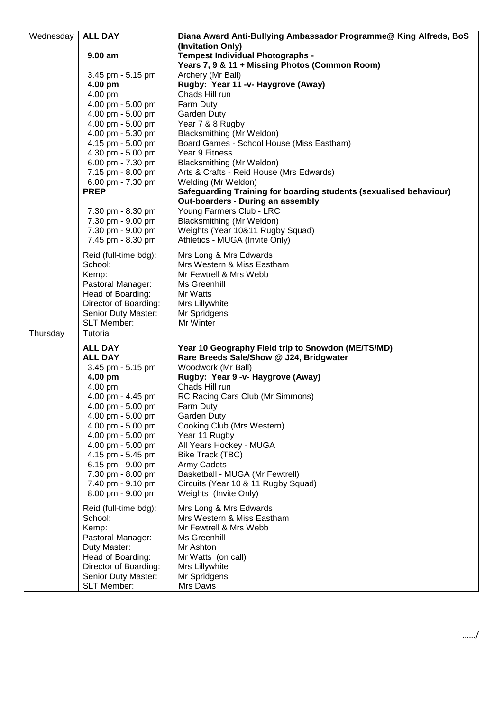| Wednesday | <b>ALL DAY</b>                         | Diana Award Anti-Bullying Ambassador Programme@ King Alfreds, BoS      |
|-----------|----------------------------------------|------------------------------------------------------------------------|
|           | $9.00$ am                              | (Invitation Only)<br>Tempest Individual Photographs -                  |
|           |                                        | Years 7, 9 & 11 + Missing Photos (Common Room)                         |
|           | 3.45 pm - 5.15 pm                      | Archery (Mr Ball)                                                      |
|           | 4.00 pm                                | Rugby: Year 11 -v- Haygrove (Away)                                     |
|           | 4.00 pm                                | Chads Hill run                                                         |
|           | 4.00 pm - 5.00 pm                      | Farm Duty                                                              |
|           | 4.00 pm - 5.00 pm                      | Garden Duty                                                            |
|           | 4.00 pm - 5.00 pm<br>4.00 pm - 5.30 pm | Year 7 & 8 Rugby<br>Blacksmithing (Mr Weldon)                          |
|           | 4.15 pm - 5.00 pm                      | Board Games - School House (Miss Eastham)                              |
|           | 4.30 pm - 5.00 pm                      | Year 9 Fitness                                                         |
|           | 6.00 pm - 7.30 pm                      | Blacksmithing (Mr Weldon)                                              |
|           | 7.15 pm - 8.00 pm                      | Arts & Crafts - Reid House (Mrs Edwards)                               |
|           | 6.00 pm - 7.30 pm                      | Welding (Mr Weldon)                                                    |
|           | <b>PREP</b>                            | Safeguarding Training for boarding students (sexualised behaviour)     |
|           |                                        | Out-boarders - During an assembly                                      |
|           | 7.30 pm - 8.30 pm                      | Young Farmers Club - LRC                                               |
|           | 7.30 pm - 9.00 pm<br>7.30 pm - 9.00 pm | Blacksmithing (Mr Weldon)<br>Weights (Year 10&11 Rugby Squad)          |
|           | 7.45 pm - 8.30 pm                      | Athletics - MUGA (Invite Only)                                         |
|           |                                        |                                                                        |
|           | Reid (full-time bdg):                  | Mrs Long & Mrs Edwards                                                 |
|           | School:<br>Kemp:                       | Mrs Western & Miss Eastham<br>Mr Fewtrell & Mrs Webb                   |
|           | Pastoral Manager:                      | Ms Greenhill                                                           |
|           | Head of Boarding:                      | Mr Watts                                                               |
|           | Director of Boarding:                  | Mrs Lillywhite                                                         |
|           | Senior Duty Master:                    | Mr Spridgens                                                           |
|           | <b>SLT Member:</b>                     | Mr Winter                                                              |
| Thursday  | <b>Tutorial</b>                        |                                                                        |
|           | <b>ALL DAY</b>                         | Year 10 Geography Field trip to Snowdon (ME/TS/MD)                     |
|           | <b>ALL DAY</b>                         | Rare Breeds Sale/Show @ J24, Bridgwater                                |
|           | 3.45 pm - 5.15 pm                      | Woodwork (Mr Ball)                                                     |
|           | 4.00 pm<br>4.00 pm                     | Rugby: Year 9 -v- Haygrove (Away)<br>Chads Hill run                    |
|           | 4.00 pm - 4.45 pm                      | RC Racing Cars Club (Mr Simmons)                                       |
|           | 4.00 pm - 5.00 pm                      | Farm Duty                                                              |
|           | 4.00 pm - 5.00 pm                      | Garden Duty                                                            |
|           | 4.00 pm - 5.00 pm                      | Cooking Club (Mrs Western)                                             |
|           | 4.00 pm - 5.00 pm                      | Year 11 Rugby                                                          |
|           | 4.00 pm - 5.00 pm                      | All Years Hockey - MUGA                                                |
|           | 4.15 pm - 5.45 pm                      | Bike Track (TBC)                                                       |
|           | 6.15 pm - 9.00 pm                      | <b>Army Cadets</b>                                                     |
|           | 7.30 pm - 8.00 pm<br>7.40 pm - 9.10 pm | Basketball - MUGA (Mr Fewtrell)<br>Circuits (Year 10 & 11 Rugby Squad) |
|           | 8.00 pm - 9.00 pm                      | Weights (Invite Only)                                                  |
|           |                                        |                                                                        |
|           | Reid (full-time bdg):<br>School:       | Mrs Long & Mrs Edwards<br>Mrs Western & Miss Eastham                   |
|           | Kemp:                                  | Mr Fewtrell & Mrs Webb                                                 |
|           | Pastoral Manager:                      | Ms Greenhill                                                           |
|           | Duty Master:                           | Mr Ashton                                                              |
|           | Head of Boarding:                      | Mr Watts (on call)                                                     |
|           | Director of Boarding:                  | Mrs Lillywhite                                                         |
|           | Senior Duty Master:                    | Mr Spridgens                                                           |
|           | <b>SLT Member:</b>                     | Mrs Davis                                                              |